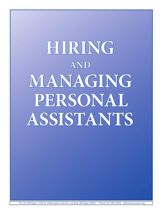# **Hiring and managing Personal assistants**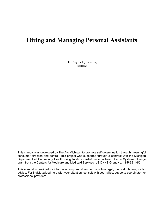# **Hiring and Managing Personal Assistants**

Ellen Sugrue Hyman, Esq. Author

This manual was developed by The Arc Michigan to promote self-determination through meaningful consumer direction and control. This project was supported through a contract with the Michigan Department of Community Health using funds awarded under a Real Choice Systems Change grant from the Centers for Medicare and Medicaid Services, US DHHS Grant No. 18-P-92116/5.

This manual is provided for information only and does not constitute legal, medical, planning or tax advice. For individualized help with your situation, consult with your allies, supports coordinator, or professional providers.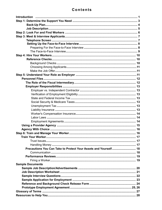## **Contents**

| Precautions You Can Take to Protect Your Assets and Yourself 18 |  |
|-----------------------------------------------------------------|--|
|                                                                 |  |
|                                                                 |  |
|                                                                 |  |
| <b>Sample Documents</b>                                         |  |
|                                                                 |  |
|                                                                 |  |
|                                                                 |  |
|                                                                 |  |
|                                                                 |  |
|                                                                 |  |
|                                                                 |  |
|                                                                 |  |
|                                                                 |  |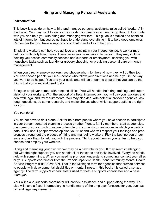## **Hiring and Managing Personal Assistants**

## **Introduction**

This book is a guide on how to hire and manage personal assistants (also called "workers" in this book). You may want to ask your supports coordinator or a friend to go through this guide with you and help you with hiring and managing workers. This guide is detailed and contains lots of information, but you do not have to understand everything in it to be a good employer. Remember that you have a supports coordinator and allies to help you.

Employing workers can help you achieve and maintain your independence. A worker may help you with daily living tasks. These tasks vary from person to person. They may include helping you access community services and supports or employment, assisting you with household tasks such as laundry or grocery shopping, or providing personal care or money management.

When you directly employ workers, you choose whom to hire and how they will do their job. You can choose people you like—people who follow your directions and help you in the way you want to be helped. You and your assistants will be a team to ensure that you can do the things that you want and need to do.

Being an employer comes with responsibilities. You will handle the hiring, training, and supervision of your workers. With the support of a fiscal intermediary, you will pay your workers and deal with legal and tax requirements. You may also deal with potential provider agencies, ask tough questions, do some research, and make choices about which support options are right for you.

#### *You can do it!*

You do not have to do it alone. Ask for help from people whom you have chosen to participate in your person-centered planning process or other friends, family members, staff at agencies, members of your church, mosque or temple or community organizations in which you participate. Think about people whose opinion you trust and who will respect your feelings and preferences throughout the process of hiring and managing workers. Pick the best person or persons and ask them to help you with the process. Think about them as your **allies** to help you choose and employ your workers.

Hiring and managing your own worker may be a new role for you. It may seem challenging, but with the right support, you can handle all of the steps and tasks involved. Everyone needs help with some things. When you need help or don't understand something, contact your allies or your supports coordinator from the Prepaid Inpatient Health Plan/Community Mental Health Service Program (PIHP/CMHSP). That is the Michigan term for agencies that provide services to people with developmental disabilities or mental illness. In this book, it is called a *service agency*. The term *supports coordinator* is used for both a supports coordinator and a *case manager.* 

Your allies and supports coordinator will provide assistance and support along the way. You also will have a fiscal intermediary to handle many of the employer functions for you, such as tax and legal requirements.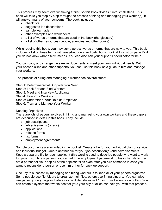This process may seem overwhelming at first, so this book divides it into small steps. This book will take you step by step through the process of hiring and managing your worker(s). It will answer many of your concerns. The book includes:

- checklists
- suggested job descriptions
- sample want ads
- other examples and worksheets
- a list of words or terms that are used in the book (the glossary)
- a list of other resources (people, agencies and other books)

While reading this book, you may come across words or terms that are new to you. This book includes a list of these terms with easy-to-understand definitions. Look at this list on page 27 if you do not know what a term means. You can also ask your supports coordinator for help.

You can copy and change the sample documents to meet your own individual needs. With your chosen allies and other supports, you can use this book as a guide to hire and manage your workers.

The process of hiring and managing a worker has several steps:

- Step 1: Determine What Supports You Need
- Step 2: Look For and Find Workers
- Step 3: Meet and Interview Applicants
- Step 4: Hire Your Workers
- Step 5: Understand Your Role as Employer
- Step 6: Train and Manage Your Worker

#### Keeping Organized

There are lots of papers involved in hiring and managing your own workers and these papers are described in detail in this book. They include:

- job descriptions
- advertisements (or ads)
- applications
- release forms
- tax forms
- employment agreements

Sample documents are included in the booklet. Create a file for your individual plan of service and individual budget. Create another file for your job description(s) and advertisements. Keep a separate file for each applicant (this word is used to describe people who want to work for you). If you hire a person, you can add the employment paperwork to his or her file to create a personnel file. Keep all of the applicant files even after you hire someone in case you want to reconsider a person or use him or her for back-up support.

One key to successfully managing and hiring workers is to keep all of your papers organized. Some people use file folders to organize their files; others use 3-ring binders. You can also use paper grocery bags or folders (some dollar stores sell 10 or more folders for a dollar). You can create a system that works best for you; your ally or allies can help you with that process.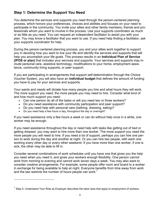## **Step 1: Determine the Support You Need**

You determine the services and supports you need through the person-centered planning process, which honors your preferences, choices and abilities and focuses on your need to participate in the community. You invite your allies and other family members, friends and professionals whom you want to involve in the process. Use your supports coordinator as much or as little as you need. You can request an independent facilitator to assist you with your plan. You may know a facilitator that you want to use. If you need help finding a facilitator, ask your supports coordinator for help.

During the person-centered planning process, you and your allies work together to support you in deciding how you want to live your life and identify the services and supports that will help you accomplish your life goals. This process results in an **Individual Plan of Service (IPOS or plan)** that includes your services and supports. Your services and supports may include personal care, assistive technology, modifications to your home, employment assistance, community living supports, or peer support.

If you are participating in arrangements that support self-determination through the Choice Voucher System, you will also have an **individual budget** that defines the amount of funding you have to pay for your services and supports.

Your wants and needs will dictate how many people you hire and what hours they will work. The more support you need, the more people you may need to hire. Consider what kind of and how much support you need:

- Can one person do all of the tasks or will you need two or three workers?
- Do you need assistance with community participation and peer support?
- Do you need help with personal care (bathing, dressing, eating)?
- Do you need help a few hours a day, throughout the day or overnight?

 $\mathcal{L}_\text{max}$  , where  $\mathcal{L}_\text{max}$  and  $\mathcal{L}_\text{max}$ 

If you need assistance only a few hours a week or can do without help once in a while, one worker may be enough.

If you need assistance throughout the day or need help with tasks like getting out of bed or getting dressed, you may want to hire more than one worker. The more support you need the more people you will need to hire. If you need a lot of support, perhaps you can hire one person to work during the day and another at night. Or you can hire two people, with each one working every other day or every other weekend. If you have more than one worker, if one is sick, the other may be able to fill in.

Consider several combinations of work schedules until you have one that gives you the help you need when you need it, and gives your workers enough flexibility. One person cannot work from morning to evening and cannot work seven days a week. You may also want to consider creative arrangements. For example, some people offer room and board to a worker in exchange for being available to help at night. Everyone benefits from time away from work and the law restricts the number of hours people can work.<sup>1</sup>

 $1$  Step 5: Understand Your Role as Employer describes the labor laws that apply to employment of workers.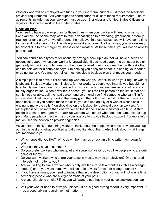Workers who will be employed with funds in your individual budget must meet the Medicaid provider requirements. Ask your supports coordinator for a list of these requirements. The requirements include that your workers must be age 18 or older and United States Citizens or legally authorized to work in the United States.

## **Back-Up Plan**

You need to have a back-up plan for those times when your worker will need to miss work. For example, he or she may want to take a vacation; go to a wedding, graduation, or family reunion; or take a day or two off around the holidays. In those cases, you will have some time to plan and find a person to fill in while your worker is gone. At other times, your worker may be absent due to an emergency, illness or bad weather. At those times, you will not be able to plan ahead.

You can handle both types of situations by having a back-up plan that will have a series of options for support when your worker is unavailable. If you need support to get out of bed or get ready for work, your plan needs to be more detailed than if you need help with tasks that can be delayed for a couple of days, like helping you apply for benefits, cleaning your house or doing laundry. You and your allies must develop a back up plan that meets your needs.

A simple plan is to have a list of back-up workers who you can fill in when your regular worker is absent. Back-up workers can include: former workers, people you interviewed but did not hire, family members, friends or people from your church, mosque, temple or another community organization. When a worker is absent, you call the first person on the list. If that person is not available, call the next person and so on until you find someone who can fill in for your worker. That back-up worker then may go to the bottom of the list for the next time you need back-up. If you cannot make the calls, you can use an ally or a worker whose shift is ending to make the calls. You should be on the lookout for potential back-up workers. Another plan is to hire more than one worker so that if one is absent another can fill in. A third option is to share emergency or back-up workers with others who need the same type of support. Many people contract with a provider agency to provide back-up support. For more information, see the section on provider agencies.

As you start to think about hiring workers, think about the people who have provided you support in the past and what you liked and did not like about them. Also think about what things are important to you.

- Which ones did you like? Write down their names or ask an ally to write them down for you.
- What did they have in common?
- Do you prefer workers who are quiet and speak softly? Or do you like people who are outgoing or funny?
- Do you want workers who share your taste in music, movies or television? Or do shared interests not matter to you?
- Are you willing to hire a worker who is only available for a few months (such as a college student) or do you want some who will be able to work for you for a longer period?
- If you have animals, you need to include that in the description, so you will not waste time screening people who are allergic or afraid of your pets.
- Are you allergic to smoke? If so, you will want to put that in your ad so smokers don't apply.
- Will your worker need to drive you places? If so, a good driving record is very important. If not, a good driving record may not matter.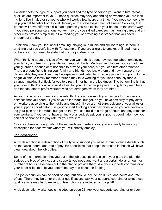Consider both the type of support you need and the type of person you want to hire. What qualities are important to you? These qualities may vary depending on whether you are looking for a live-in aide or someone who will work a few hours at a time. If you need someone to help you get benefits from Social Security or the state Department of Human Services, that person will have different skills than a person you hire to clean your house. In the same way, if you need personal care, one worker may provide skilled care, such as nursing care, and another may provide simpler help like feeding you or providing assistance that you need throughout the day.

Think about how you feel about smoking, playing loud music and similar things. If there is anything that you can't live with (for example, if you are allergic to smoke, or if loud music bothers you), you need to state that in your job description.

When thinking about the type of worker you want, think about how you feel about employing your family and friends to provide your support. Under Medicaid regulations, you cannot hire your guardian, spouse or minor child to provide your care, but you can hire other relatives. There are benefits to hiring your family and friends; you know them and how trustworthy or dependable they are. They may be especially dedicated to providing you with support. On the negative side, a family member or friend may take working for you less seriously than a stranger, making it difficult for you to direct him or her in the job duties. The bottom line is that you have to think about what works best for you. Some people prefer using family members and friends; others prefer workers who are strangers when they are hired.

As you consider your needs and wants, think about how much you can pay for the various services that you need. If you have an individual budget, do you have flexibility to pay different workers according to their skills and duties? If you are not sure, ask one of your allies or your supports coordinator. It is good to start thinking about pay rates when you are developing your plan and individual budget so that you can build in a range of hours and pay rates for your workers. If you do not have an individual budget, ask your supports coordinator how you can set or change the pay rate for your workers.

Once you have a thought about these needs and preferences, you are ready to write a job description for each worker whom you will directly employ.

#### **Job description**

A job description is a description of the type of support you need. It must include details such as the tasks, hours, and rate of pay. Be specific so that people interested in the job will have clear idea about the job duties.

Some of the information that you put in the job description is also in your plan; the plan describes the type of services and supports you need and want and a certain dollar amount or number of hours have been put in the plan to provide them. Ask your supports coordinator or your other allies to help you determine pay rate based on funding.

The job description can be short or long, but should include job duties, and hours and rate of pay. There may be other provider qualifications; ask your supports coordinator what these qualifications may be. Sample job descriptions are included on page 20.

A job description worksheet is included on page 21. Ask your supports coordinator or your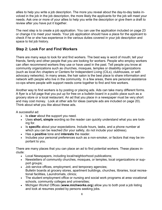allies to help you write a job description. The more you reveal about the day-to-day tasks involved in the job in the job description, the more likely the applicants for the job will meet your needs. Ask one or more of your allies to help you write the description or give them a draft to review after you have put it together.

The next step is to create a job application. You can use the application included on page 23 or change it to meet your needs. Your job application should have a place for the applicant to check if he or she has experience in the various duties covered in your job description and space to list job history.

## **Step 2: Look For and Find Workers**

There are many ways to look for and find workers. The best way is word of mouth; tell your friends, family and other people that you are looking for workers. People who employ workers can often recommend workers they use or have used in the past. Tell people you know at community organizations such as churches, mosques, temples or disability organizations (such as local Arc chapters or Centers for Independent Living (CILs), clubhouses, or selfadvocacy networks). In many areas, the hair salon is the best place to share information and network with people who live in the community. In a few areas, there are personal assistance co-ops where people with support needs come together to find and hire workers.

Another way to find workers is by posting or placing ads. Ads can take many different forms. A flyer is a full page that you put up for free on a bulletin board in a public place such as a grocery store or a local restaurant. An ad that you place in a newspaper must be very short and may cost money. Look at other ads for ideas (sample ads are included on page 20). Think about what you like about these ads.

A successful ad:

- Is **clear** about the support you need.
- Uses **short, simple** wording so the reader can quickly understand what you are looking for.
- Is **specific** about your expectations. Include hours, tasks, and a phone number at which you can be reached (for your safety, do not include your address).
- Has a **positive** tone and **interests** the reader.
- Includes your personal preferences such as a non-smoker, or factors that may be important to you.

There are many places that you can place an ad to find potential workers. These places include:

- Local Newspapers, including local/neighborhood publications;
- Newsletters of community churches, mosques, or temples, local organizations or support groups;
- Job service offices, employment, and temporary agencies; Bulletin boards at grocery stores, apartment buildings, churches, libraries, local recreational facilities, Laundromats, clinics;
- The student employment office or nursing and social work programs at area vocational schools, community colleges and universities;
- Michigan Works! Offices (**www.michworks.org**) allow you to both post a job listing and look at resumes posted by persons seeking jobs.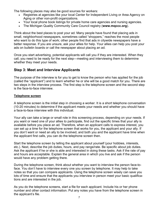The following places may also be good sources for workers:

- Registries at agencies like your local Center for Independent Living or Area Agency on Aging or other non-profit organizations.
- Your local phone book listings for private home care agencies and nursing agencies.
- The Michigan Quality Community Care Council registry (**www.mqccc.org**).

Think about the best places to post your ad. Many people have found that placing ads in small, neighborhood newspapers, sometimes called "shoppers," reaches the most people who want to do this type of work; other people find that ads in citywide newspapers have a better response. If you are unsure, ask your allies for help. Your allies can help you post your ads on bulletin boards or call the newspaper about placing an ad.

Once you start advertising, potential applicants will call you if they are interested. When they call, you need to be ready for the next step—meeting and interviewing them to determine whether they meet your needs.

## **Step 3: Meet and Interview Applicants**

The purpose of the interview is for you to get to know the person who has applied for the job (called the "applicant") and to learn whether he or she will be a good match for you. There are two steps in the interview process. The first step is the telephone screen and the second step is the face-to-face interview.

## **Telephone screen**

A telephone screen is the initial step in choosing a worker. It is a short telephone conversation (10-20 minutes) to determine if the applicant meets your needs and whether you should have a face-to-face interview with this individual.

Your ally can take a large or small role in this screening process, depending on your needs. If you want or need one of your allies to participate, find out the specific times that your ally is available before you place an ad. Therefore, when an applicant calls to express interest, you can set up a time for the telephone screen that works for you, the applicant and your ally. If you don't want or need an ally to be involved, and both you and the applicant have time when the applicant first calls, you can do the telephone screen then.

Start the telephone screen by telling the applicant about yourself (your hobbies, interests, etc.). Next, describe the job duties, hours, and pay range/rate. Be specific about job duties. Ask the applicant if he or she is able and interested in doing these tasks. Ask if the rate of pay and hours are acceptable. Explain the general area in which you live and ask if the person would have any problem getting there.

During the telephone screen, think about whether you want to interview the person face-toface. You don't have to interview every one you screen by telephone. It may help to take notes so that you can compare applicants. Using the telephone screen wisely can save you lots of time and ensure that the applicants you interview in person meet your basic qualifications and are interested in the job.

As you do the telephone screens, start a file for each applicant. Include his or her phone number and other contact information. Put any notes you have from the telephone screen in the applicant's file.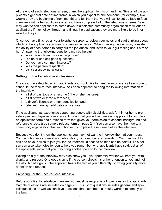At the end of each telephone screen, thank the applicant for his or her time. Give all of the applicants a general date or time frame in which you expect to hire someone (for example, two weeks or by the beginning of next month) and tell them that you will call to set up face-to-face interviews with a few applicants after you have completed all of the telephone screens. You may want to ask applicants to come down to a selected community organization to fill out an application. If they follow through and fill out the application, they are more likely to be interested in the job.

Once you have finished all your telephone screens, review your notes and start thinking about which of the applicants you want to interview in person. When making this decision, consider the ability of each person to carry out the job duties, and listen to your gut feeling about him or her. Answering the following questions may be helpful:

- Was the applicant nice on the phone?
- Did he or she ask good questions?
- Do you have common interests?
- Was the person respectful?
- Can he or she do the job duties?

## **Setting up the Face-to-Face Interviews**

Once you have decided which applicants you would like to meet face-to-face, call each one to schedule the face-to-face interview. Ask each applicant to bring the following information to the interview:

- a list of past jobs or a resume (if he or she has one),
- a list of two or three references,
- a driver's license or other identification and
- relevant training certificates or licenses.

If the applicant has experience supporting people with disabilities, ask for him or her to provide a past employer as a reference. Explain that you will require each applicant to complete an application form and a release form that gives you permission to conduct background and reference checks (see sample release form on page 24). You can also have them go to a community organization that you choose to complete these forms before the interview.

Because you don't know the applicants, you may not want to interview them at your house. You can choose a coffee shop, public library, or community organization. You may want to ask one of your allies to join you for the interview; a second opinion can be helpful. This person can also take notes for you to help you remember what applicants have said. Let all of the applicants know that you may bring another person to the interview.

Having an ally at the interview may also show you if your potential worker will treat you with dignity and respect. One good sign is if the person directs his or her attention to you and not the ally. A bad sign is if the applicant treats the two of you differently, showing your ally more attention and respect.

## Preparing For the Face-to-Face Interview

Before your first face-to-face interview, you must develop a list of questions for the applicants. Sample questions are included on page 22. This list of questions includes general and specific questions as well as sensitive questions that have been carefully worded to comply with the law.  $\frac{8}{3}$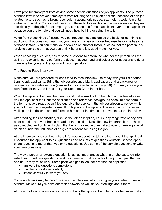Laws prohibit employers from asking some specific questions of job applicants. The purpose of these laws is to prevent employers from refusing to hire a job applicant because of non-jobrelated factors such as religion, race, color, national origin, age, sex, height, weight, marital status, or disability. You cannot use any of these factors in choosing a worker unless they relate directly to the job. For example, you can choose a female applicant over a male applicant because you are female and you will need help bathing or using the toilet.

Aside from these kinds of issues, you cannot use these factors as the basis for not hiring an applicant. That does not mean that you have to choose a worker because he or she has one of these factors. You can make your decision on another factor, such as that the person is allergic to your pets or that you don't think he or she is a good match for you.

When choosing questions, select some questions to determine whether the person has the ability and experience to perform the duties that you need and select other questions to determine whether you and the applicant would get along.

#### The Face-to-Face Interview

Make sure you are prepared for each face-to-face interview. Be ready with your list of questions to ask applicants. Bring the job description, a blank application, and a background/ reference check release form (sample forms are included on page 20). You may create your own forms or may use forms that your Supports Coordinator has.

When the applicant arrives, be friendly and make small talk to help him or her feel at ease. Ask the applicant to fill out the application and reference/background check release form. If the forms have already been filled out, give the applicant the job description to review while you look over the completed forms. If both you and the applicant have e-mail, consider emailing the job description and forms to him or her in advance to save time at the interview.

After reading their application, discuss the job description, hours, pay range/rate of pay and other benefits and your hopes regarding the position. Describe how important it is to show up as scheduled and on time. Explain that being involved in criminal activities or arriving at work drunk or under the influence of drugs are reasons for losing the job.

At the interview, you can both share information about the job and learn about the applicant. Encourage the applicant to ask questions and ask lots of questions yourself. Choose openended questions rather than yes or no questions. Use some of the sample questions or write your own questions.

The way a person answers a question is just as important as what he or she says. An interested person will ask questions, and be interested in all aspects of the job, not just the pay and hours they must work. Some positive signs to look for are that the applicant:

- answers the questions completely;
- maintains good eye contact;
- listens carefully to what you say.

Some applicants may be nervous about the interview, which can give you a false impression of them. Make sure you consider their answers as well as your feelings about them.

At the end of each face-to-face interview, thank the applicant and let him or her know that you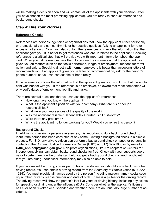will be making a decision soon and will contact all of the applicants with your decision. After you have chosen the most promising applicant(s), you are ready to conduct reference and background checks.

## **Step 4: Hire Your Workers**

## **Reference Checks**

References are persons, agencies or organizations that know the applicant either personally or professionally and can confirm his or her positive qualities. Asking an applicant for references is not enough. You must also contact the references to check the information that the applicant gave you. It is better to get references who are unrelated to the applicant. Checking references is a critical step that will provide you with important information about the applicant. When you call references, ask them to confirm the information that the applicant has given you on matters such as the tasks performed, length of employment, reasons for termination and salary. Speaking directly with former employers is better than accepting letters of recommendation. If an applicant gives you a letter of recommendation, ask for the person's phone number, so you can contact him or her directly.

If the reference confirms the information that the applicant gives you, you know that the applicant was honest with you. If the reference is an employer, be aware that most companies will only verify dates of employment, job title and tasks.

There are several questions that you can ask the applicant's references:

- How long have you known the applicant?
- What is the applicant's position with your company? What are his or her job responsibilities?
- What were your impressions of the quality of the work?
- Was the applicant reliable? Dependable? Courteous? Trustworthy?
- Were there any problems?
- Why is the applicant no longer working for you? Would you rehire this person?

## Background Checks

In addition to checking a person's references, it is important to do a background check to learn if the person has been convicted of any crime. Getting a background check is a simple process. For \$10, any private citizen can perform a background check on another persons by contacting the Criminal Justice Information Center (CJIC) at (517) 322-1956 or by e-mail at **CJIC\_applhelp@michigan.gov**. Non-profit organizations, like Arc chapters or Centers for Independent Living, can obtain background checks for free. Check with your supports coordinator to determine how he or she can help you get a background check on each applicant that you are hiring. Your fiscal intermediary may also be able to help.

If your worker will be driving you as part of his or her duties, you should also check his or her driving record. You can obtain a driving record from the Secretary of State's Office (517-322- 1624). You must provide all names used by the person (including maiden name), social security number, driver's license number and date of birth. There is a \$7 fee for the driving record. The driving record will show the person's last five years of driving history, including any tickets for speeding or driving under the influence (DUI). Consider whether the applicant's license has ever been revoked or suspended and whether there are an unusually large number of accidents.<br>
10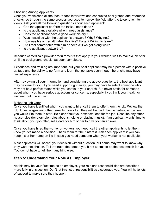## Choosing Among Applicants

Once you've finished all the face-to-face interviews and conducted background and reference checks, go through the same process you used to narrow the field after the telephone interviews. Ask yourself the following questions about each applicant:

- Can the applicant perform the tasks I need done?
- Is the applicant available when I need assistance?
- Does the applicant have a good work history?
- Was I satisfied with the applicant's answers? Why? Why not?
- How was his or her attitude? Positive? Eager? Willing to learn?
- Did I feel comfortable with him or her? Will we get along well?
- Is the applicant trustworthy?

Because of Medicaid provider requirements that apply to your worker, wait to make a job offer until the background check has been completed.

Experience and training are important, but your best applicant may be a person with a positive attitude and the ability to perform and learn the job tasks even though he or she may have limited experience.

After reviewing all your information and considering the above questions, the best applicant may be clear to you. If you need support right away, you may have to select someone who may not be a perfect match while you continue your search. But never settle for someone about whom you have serious questions or concerns, especially if you think your health or welfare could be at risk.

#### Make the Job Offer

Once you have identified whom you want to hire, call them to offer them the job. Review the job duties, wages and other benefits, how often they will be paid, their schedule, and when you would like them to start. Be clear about your expectations for the job. Describe any other house rules (for example, rules about smoking or playing music). If an applicant wants time to think about your job offer, set a date for him or her to give you an answer.

Once you have hired the worker or workers you need, call the other applicants to let them know you've made a decision. Thank them for their interest. Ask each applicant if you can keep his or her name on file in case you need someone when your worker is not available.

Most applicants will accept your decision without question, but some may want to know why they were not chosen. Tell the truth, the person you hired seems to be the best match for you. You do not have to tell them anything else.

## **Step 5: Understand Your Role As Employer**

As this may be your first time as an employer, your role and responsibilities are described more fully in this section. Don't let this list of responsibilities discourage you. You will have lots of support to make sure they happen.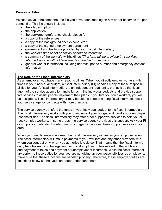## **Personnel Files**

As soon as you hire someone, the file you have been keeping on him or her becomes the personnel file. This file should include:

- the job description
- the application
- the background/reference check release form
- a copy of the references
- a copy of the background checks conducted
- a copy of the signed employment agreement
- government and tax forms provided by your Fiscal Intermediary
- the worker's time sheet or activity sheet/documentation
- a summary of the worker's withholdings (*This form will be provided by your fiscal intermediary and withholdings are described in this section*)
- general worker information including address, phone number and emergency contact information

## **The Role of the Fiscal Intermediary**

As an employer, you have many responsibilities. When you directly employ workers with funds in your individual budget, a fiscal intermediary (FI) handles many of those responsibilities for you. A fiscal intermediary is an independent legal entity that acts as the fiscal agent of the service agency to handle funds in the individual budgets and provide supportive services to assist people implement their plans. If you hire your own workers, you will be assigned a fiscal intermediary or may be able to choose among fiscal intermediaries if your service agency contracts with more than one.

The service agency transfers the funds in your individual budget to the fiscal intermediary. The fiscal intermediary works with you to implement your budget and handle your employer responsibilities. The fiscal intermediary may offer other supportive services to help you directly employ workers; in some areas, the service agency provides this support. Ask your FI or supports coordinator to determine which agency provides these support services in your area.

When you directly employ workers, the fiscal intermediary serves as your employer agent. The fiscal intermediary will make payments to your workers and any other providers with whom you contract only when you authorize it to do so. That means that the fiscal intermediary handles many of the legal and technical employer duties related to the withholding and payment of taxes and payment of unemployment insurance. While the fiscal intermediary performs these duties for you, you are not giving up your responsibilities as employer to make sure that these functions are handled properly. Therefore, these employer duties are described below so that you can better understand them.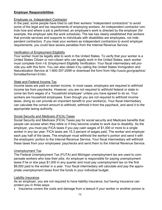## **Employer Responsibilities**

#### Employee vs. Independent Contractor

In the past, some people have tried to call their workers "independent contractors" to avoid some of the legal and tax requirements of employing workers. An independent contractor controls how and where a job is performed; an employee's work is directed by the employer (for example, the employer sets the work schedule). The law has clearly established that workers that provide services and supports to individuals with disabilities are employees, not independent contractors. If you treat your workers as independent contractors to avoid employer requirements, you could face severe penalties from the Internal Revenue Service.

## Verification of Employment Eligibility

Your worker must be legally able to work in the United States. To verify that your worker is a United States Citizen or non-citizen who can legally work in the United States, each worker must complete *form I-9, Employment Eligibility Verification*. Your fiscal intermediary will provide you with this form. You can also obtain it by calling the United States Immigration and Naturalization Service at 1-800-357-2099 or download the form from http://uscis.gov/graphics/ formsfee/forms/i-9.htm.

## State and Federal Income Tax

Income taxes are paid on worker income. In most cases, employers are required to withhold income tax from paychecks. However, you are not required to withhold federal or state income tax from wages of a "household employee" unless you have agreed to do so. Your workers are household employees. Even though you are not required to withhold income taxes, doing so can provide an important benefit to your worker(s). Your fiscal intermediary can calculate the correct amount to withhold, withhold it from the paycheck, and send it to the appropriate taxing authority.

## Social Security and Medicare (FICA) Taxes

Social Security and Medicare (FICA) Taxes pay for social security and Medicare benefits that people can access when they retire or if they become unable to work due to disability. As the employer, you must pay FICA taxes if you pay cash wages of \$1,000 or more to a single worker in any tax year. FICA taxes are 15.3 percent of wages paid. The worker and employer each pay half of the taxes. The employer must withhold the worker's portion and send it with the employers' portion to the Internal Revenue Service. Your fiscal intermediary will withhold these taxes from your employees' paychecks and send them to the Internal Revenue Service.

#### Unemployment Tax

The Federal Unemployment Tax (FUTA) and Michigan unemployment tax are used to compensate workers who lose their jobs. An employer is responsible for paying unemployment taxes if he or she pays \$1,000 in any quarter and must pay unemployment tax on the first \$9,000 paid to the worker in a year. Your fiscal intermediary will calculate and pay the appropriate unemployment taxes from the funds in your individual budget.

## Liability Insurance

As an employer, you are not required to have liability insurance, but having insurance can protect you in three ways:

• Insurance covers the costs and damage from a lawsuit if your worker or another person is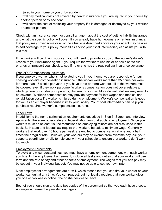injured in your home by you or by accident;

- It will pay medical costs not covered by health insurance if you are injured in your home by another person or by accident;
- It will cover the cost of replacing your property if it is damaged or destroyed by your worker or another person.

Check with an insurance agent or consult an agent about the cost of getting liability insurance and what the specific policy will cover. If you already have homeowners or renters insurance, that policy may cover some or all of the situations described above or your agent may be able to add coverage to your policy. Your allies and/or your fiscal intermediary can assist you with this task.

If the worker will be driving your car, you will need to provide a copy of the worker's driver's license to your insurance agent. If you require the worker to use his or her own car to run errands or transport you, check to see if he or she has the required car insurance coverage.

#### Worker's Compensation Insurance

If you employ a worker who is not related to you in your home, you are responsible for purchasing worker's compensation insurance if the worker works more than 35 hours per week for more than 13 weeks per year. If you have three or more workers, all of the workers must be covered even if they work part-time. Worker's compensation does not cover relatives, which generally includes your parents, children, or spouse. More distant relatives may need to be covered. Worker's compensation may provide payment for lost wages and medical and rehabilitation costs if a worker is injured during employment. Worker's compensation is good for you as an employer because it limits your liability. Your fiscal intermediary can help you purchase required worker's compensation insurance.

#### Labor Laws

In addition to the non-discrimination requirements described in Step 3: Screen and Interview Applicants, there are other state and federal labor laws that apply to employment. Since your workers must be at least 18, the restrictions on employing minors are not discussed in this book. Both state and federal law require that workers be paid a minimum wage. Generally, workers that work over 40 hours per week are entitled to compensation at one and a half times their regular rate. However, your workers may be exempt from overtime pay; ask your supports coordinator or ally to help you with your schedule to ensure that workers don't work too much.

#### Employment Agreements

To avoid any misunderstandings, you must have an employment agreement with each worker you hire. In the employment agreement, include all tasks and duties that your worker will perform and the rate of pay and other benefits of employment. The wages that you can pay may be set out in your individual budget. You may not be able to set your own rate.

Most employment arrangements are at-will, which means that you can fire your worker or your worker can quit at any time. You can request, but not legally require, that your worker gives you one or two weeks notice if he or she decides to leave.

Both of you should sign and date two copies of the agreement so that you each have a copy. A sample agreement is provided on page 25.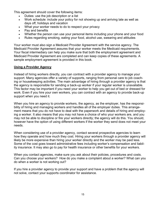This agreement should cover the following items:

- Duties: use the job description or a list
- Work schedule: include your policy for not showing up and arriving late as well as days off, holidays and vacation
- What your worker needs to do to respect your privacy
- Pay and benefits
- Whether the person can use your personal items including your phone and your food
- Rules regarding smoking, eating your food, alcohol use, swearing and attitudes

Your worker must also sign a Medicaid Provider Agreement with the service agency. The Medicaid Provider Agreement assures that your worker meets the Medicaid requirements. Your fiscal intermediary can help you make sure that both the employment agreement and Medicaid Provider Agreement are completed and can keep copies of these agreements. A sample employment agreement is provided in this book.

## **Using a Provider Agency**

Instead of hiring workers directly, you can contract with a provider agency to manage your support. Many agencies offer a variety of supports, ranging from personal care to job coaching or housekeeping activities. The main advantage of hiring through a provider agency is that the agency is responsible for sending a back-up worker if your regular worker is unavailable. This factor may be important if you need your worker to help you get out of bed or dressed for work. Even if you hire your own workers, you can contract with an agency to provide back-up support when you need it.

When you hire an agency to provide workers, the agency, as the employer, has the responsibility of hiring and managing workers and handles all of the employer duties. This arrangement means that you do not have to deal with the paperwork and details of hiring and employing a worker. It also means that you may not have a choice of who your workers are, and you may not be able to discipline or fire your workers directly; the agency will do this. You should, however have the option of using different workers if the worker they send does not meet your needs.

When considering use of a provider agency, contact several prospective agencies to learn how they operate and how much they cost. Hiring your workers through a provider agency will likely be more expensive than hiring your worker directly and the worker may be paid less. Some of the cost goes toward administrative fees including worker's compensation and liability insurance. It may also go to pay for health insurance or other benefits for your workers.

When you contact agencies, make sure you ask about their policies, procedures and costs. Can you choose your workers? How do you make a complaint about a worker? What can you do when a worker is not working out?

If you hire a provider agency to provide your support and have a problem that the agency will not solve, contact your supports coordinator for assistance.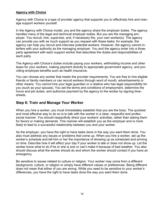## **Agency with Choice**

Agency with Choice is a type of provider agency that supports you to effectively hire and manage support workers yourself.

In the Agency with Choice model, you and the agency share the employer duties. The agency handles many of the legal and technical employer duties. But you are the managing employer. You recruit, hire, supervise, and, if necessary fire, your own worker(s). The agency can provide you with as much support as you request with these tasks; for example, the agency can help you recruit and interview potential workers. However, the agency cannot interfere with your authority as the managing employer. You and the agency enter into a threeparty agreement with each support worker that describes the duties and responsibilities of each party.

The Agency with Choice's duties include paying your workers, withholding income and other taxes for your workers, making payment directly to appropriate government agency, and providing employee benefits such as health insurance.

You can choose any worker that meets the provider requirements. You are free to hire eligible friends or family members or can recruit workers through word of mouth, advertisements or other means. You cannot hire your legal guardian or a relative who has legal responsibility for you (such as your spouse). You set the terms and conditions of employment, determine the hours and job duties, and authorize payment by the agency to the worker by signing timesheets.

## **Step 6: Train and Manage Your Worker**

When you hire a worker, you must immediately establish that you are the boss. The quickest and most effective way to do so is to talk with the worker in a clear, respectful and professional manner. You should respectfully direct your workers' activities, rather than asking them for favors or making demands. This manner will establish you as the employer and is more likely to lead to a successful relationship between you and your worker.

As the employer, you have the right to have tasks done in the way you want them done. You also must address any issues or problems that come up. When you hire a worker, set up the worker's schedule and tell him or her the importance of showing up as scheduled and arriving on time. Describe how it will affect your day if your worker is late or does not show up. Let the worker know what to do if he or she is sick or can't make it because of bad weather. You also should discuss what the worker should do and whom the worker should contact if you have an emergency.

Be sensitive to issues related to culture or religion. Your worker may come from a different background, culture, or religion or simply have different values or preferences. Being different does not mean that either of you are wrong. While you need to be sensitive to your worker's differences, you have the right to have tasks done the way you want them done.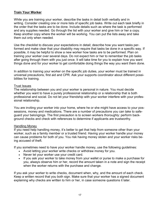## **Train Your Worker**

While you are training your worker, describe the tasks in detail both verbally and in writing. Consider creating one or more lists of specific job tasks. Write out each task briefly in the order that the tasks are to be done. Include details such as where the task is performed and any supplies needed. Go through the list with your worker and give him or her a copy. Keep another copy where the worker will be working. You can put the lists away and take them out only when needed.

Use the checklist to discuss your expectations in detail; describe how you want tasks performed and make clear that your disability may require that tasks be done in a specific way. If possible, it may be helpful to show a new worker how tasks are to be performed. Plan on training your worker over several days. Do not expect him or her to remember the job tasks after going through them with you just once. It will take time for you to explain how you want things done and for your worker to get comfortable doing things the way you want them done.

In addition to training your worker on the specific job duties, your worker must be trained in universal precautions, first aid and CPR. Ask your supports coordinator about different possibilities for training.

#### Trust Issues

The relationship between you and your worker is personal in nature. You must decide whether you want to have a purely professional relationship or a relationship that is both professional and social. Do not let your friendship with your worker interfere with your professional relationship.

You are inviting your worker into your home, where he or she might have access to your possessions, money and medications. There are a number of precautions you can take to safeguard your belongings. The first precaution is to screen workers thoroughly: perform background checks and check with references to determine if applicants are trustworthy.

#### Handling Money

If you need help handling money, it's better to get that help from someone other than your worker, such as a family member or a trusted friend. Having your worker handle your money can cause problems for both of you. You risk having money stolen and your worker risks being accused of theft.

If you sometimes need to have your worker handle money, use the following guidelines:

- Avoid letting your worker write checks or withdraw money for you.
- Never let your worker use your credit card.
- If you ask your worker to take money from your wallet or purse to make a purchase for you, always observe him or her, record the amount taken in a note and sign the receipt when the worker returns with the purchase and change.

If you ask your worker to write checks, document when, why, and the amount of each check. Keep a written record that you both sign. Make sure that your worker has a signed document explaining why checks are written to him or her, in case someone questions it later.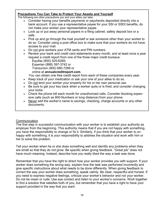## **Precautions You Can Take to Protect Your Assets and Yourself**

The following are other precautions you and your allies can take:

- Consider having your benefits payments or paychecks deposited directly into a bank account. If you use a representative payee for your SSI or SSDI benefits, do not make your worker your representative payee.
- Lock up or put away personal papers in a filing cabinet, safety deposit box or a safe.
- Pick up and go through the mail yourself or ask someone other than your worker to do so. Consider using a post office box to make sure that your workers do not have access to your mail.
- Do not give workers your ATM cards and PIN numbers.
- Review your bank and credit card statements every month, and at least once a year request a credit report from one of the three major credit bureaus:
	- Equifax (800) 525-6285;
	- Experian (888) 397-3742 or
	- Transunion (800) 680-7289 or

## online at **annualcreditreport.com**.

You can obtain one free credit report from each of these companies every year.

- Keep track of your medication or ask your one of your allies to do so.
- Do not lend your worker your property for his or her own personal use.
- Be sure to get your key back when a worker quits or is fired, and consider changing your locks.
- Check the phone bill each month for unauthorized calls. Consider blocking expensive calls (such as 900-Numbers or long distance) from your phone.
- Never add the worker's name to savings, checking, charge accounts or any other documents.

## **Communication**

The first step in successful communication with your worker is to establish your authority as employer from the beginning. This authority means that if you are not happy with something, you have the responsibility to change or fix it. Similarly, if you think that your worker is unhappy with something, it is your responsibility to address the situation and work with him or her to solve the problem.

Tell your worker when he or she does something well and identify any problems when they are small so that they do not grow. Be specific when giving feedback. "Great job" does not have much meaning. Instead, describe how you really liked the way a task was done.

Remember that you have the right to direct how your worker provides you with support. If your worker does something the wrong way, explain how the task was performed incorrectly and give specific instructions about what needs to be done differently. When giving feedback to correct the way your worker does something, speak calmly. Be clear, respectful and honest. If you need to express negative feelings, criticize your worker's behavior and not your worker. Do not be mean or rude. Use eye contact and listen to your worker's concerns. Work together to find a solution that satisfies both of you, but remember that you have a right to have your support provided in the way that you want.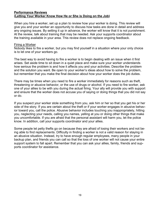## **Performance Reviews (Letting Your Worker Know How He or She is Doing on the Job)**

When you hire a worker, set up a plan to review how your worker is doing. This review will give you and your worker an opportunity to discuss how tasks are done in detail and address any ongoing issues. By setting it up in advance, the worker will know that it is not punishment. At the review, talk about training that may be needed. Ask your supports coordinator about the training available in your area. This review does not replace ongoing feedback.

#### Firing a Worker

Nobody likes to fire a worker, but you may find yourself in a situation where your only choice is to let one of your workers go.

The best way to avoid having to fire a worker is to begin dealing with an issue when it first arises. Set aside time to sit down in a quiet place and make sure your worker understands how serious the problem is and how it affects you and your activities. Describe the problem and the solution you want. Be open to your worker's ideas about how to solve the problem, but remember that you make the final decision about how your worker does the job duties.

There may be times when you need to fire a worker immediately for reasons such as theft, threatening or abusive behavior, or the use of drugs or alcohol. If you need to fire worker, ask one of your allies to be with you during the actual firing. Your ally will provide you with support and ensure that the worker does not accuse you of saying or doing things that you did not say or do.

If you suspect your worker stole something from you, ask him or her so that you get his or her side of the story. If you are certain about the theft or if your worker engages in abusive behavior toward you, call the police. Abusive behavior includes touching you inappropriately, hitting you, neglecting your needs, calling you names, yelling at you or doing other things that make you uncomfortable. If you are afraid that the personal assistant will harm you, let the police know. In addition, call your supports coordinator and your allies.

Some people let petty thefts go on because they are afraid of losing their workers and not being able to find replacements. Difficulty in finding a worker is not a valid reason for staying in an abusive situation. Instead, try to have enough regular employees, many people in your backup plan, and friends you can call so that the loss of one worker will not cause your entire support system to fall apart. Remember that you can ask your allies, family, friends and supports coordinator for assistance.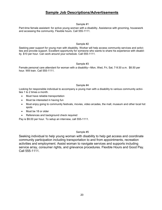## **Sample Job Descriptions/Advertisements**

#### Sample #1

Part-time female assistant: for active young woman with a disability. Assistance with grooming, housework and accessing the community. Flexible hours. Call 555-1111.

#### Sample #2

Seeking peer support for young man with disability. Worker will help access community services and activities and provide support. Excellent opportunity for someone who wants to share his experience with disability. \$10 per hour. Can work around your schedule. Call 555-1111.

#### Sample #3

Female personal care attendant for woman with a disability—Mon, Wed, Fri, Sat, 7-9:30 a.m. \$8.50 per hour. Will train. Call 555-1111.

#### Sample #4

Looking for responsible individual to accompany a young man with a disability to various community activities 1 to 2 times a month.

- Must have reliable transportation
- Must be interested in having fun
- Must enjoy going to community festivals, movies, video arcades, the mall, museum and other local hot spots
- Must be 18 or older
- References and background check required

Pay is \$9.00 per hour. To setup an interview, call 555-1111.

#### Sample #5

Seeking individual to help young woman with disability to help get access and coordinate community participation including transportation to and from appointments, recreation activities and employment. Assist woman to navigate services and supports including service array, consumer rights, and grievance procedures. Flexible Hours and Good Pay. Call 555-1111.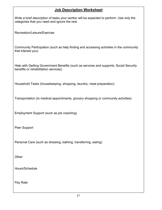## **Job Description Worksheet**

Write a brief description of tasks your worker will be expected to perform. Use only the categories that you need and ignore the rest.

Recreation/Leisure/Exercise

Community Participation (such as help finding and accessing activities in the community that interest you)

Help with Getting Government Benefits (such as services and supports, Social Security benefits or rehabilitation services)

Household Tasks (housekeeping, shopping, laundry, meal preparation)

Transportation (to medical appointments, grocery shopping or community activities)

Employment Support (such as job coaching)

Peer Support

Personal Care (such as dressing, bathing, transferring, eating)

**Other** 

Hours/Schedule

Pay Rate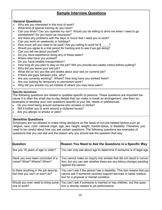## **Sample Interview Questions**

## **General Questions**

- Why are you interested in this kind of work?
- What kind of special training do you have?
- Can you drive? Can you operate my van? Would you be willing to drive me when I need to go somewhere? Do you have car insurance?
- Are there any problems with the days or hours that I need you to work?
- Can you work on weekends or holidays?
- How much will you need to be paid? Are you willing to work for \$\_\_\_\_\_\_\_\_\_\_\_\_\_\_\_\_
- Would you agree to a trial period for training and to see if we get along?
- Can you tell me about yourself?
- Do you have experience doing any of these tasks?
- Where else have you worked?
- Do you have reliable transportation?
- How long do you plan to stay on the job? Will you provide two weeks notice before quitting?
- Why did you leave your last job?
- What did (or do) you like and dislike about your last (or current) job?
- If there are gaps between jobs, why?
- Are you currently working? Where? How long have you worked there?
- Are you looking for temporary or permanent work?
- Why did you answer my ad instead of others you may have seen?

#### **Specific Questions**

The following questions are related to qualities specific to persons. These questions are important because it is often the small day-to-day details that can make or break an arrangement. Use them as examples to develop your own questions specific to your life, needs or preferences.

- Do you mind being around someone who smokes or drinks?
- Will it bother you to work around a cluttered house?
- Are you allergic to smoke or pets?

#### **Sensitive Questions**

Employers are not allowed to make hiring decisions on the basis of non-job-related factors such as religion, race, color, national origin, age, sex, height, weight, marital status, or disability. Therefore, you need to be careful about how you ask certain questions. The following questions are examples of questions that you can ask and the reason why you should ask the question that way.

| Question                                                                  | Reason You Need to Ask the Questions in a Specific Way                                                                                                                                |
|---------------------------------------------------------------------------|---------------------------------------------------------------------------------------------------------------------------------------------------------------------------------------|
| Are you 18 years of age or older?                                         | You can only ask about age to determine if someone is of legal age.                                                                                                                   |
| Have you ever been convicted of a<br>  crime? What? Where? When?          | You cannot make an inquiry into arrests that did not result in convic-<br>tion, but you can ask whether there are any felony charges pending<br>against the person.                   |
| Is there anything in the job descrip-<br>tion that you can't or won't do? | You can't ask if the person has a disability. This ban means that you<br>cannot ask if someone receives support services or takes medica-<br>tion for a physical or mental condition. |
| Would you ever need to bring some-<br>lone to work?                       | You can't ask if someone is married or has children, but this ques-<br>tion is directly related to job performance.                                                                   |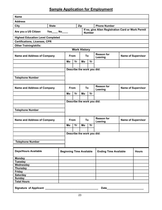# **Sample Application for Employment**

| <b>Name</b>                              |              |                                 |                     |                                                                     |    |    |                              |                           |                           |
|------------------------------------------|--------------|---------------------------------|---------------------|---------------------------------------------------------------------|----|----|------------------------------|---------------------------|---------------------------|
| <b>Address</b>                           |              |                                 |                     |                                                                     |    |    |                              |                           |                           |
| City                                     | <b>State</b> |                                 |                     | Zip                                                                 |    |    | <b>Phone Number</b>          |                           |                           |
| Are you a US Citizen                     | $Yes$ No     |                                 |                     | If no, give Alien Registration Card or Work Permit<br><b>Number</b> |    |    |                              |                           |                           |
| <b>Highest Education Level Completed</b> |              |                                 |                     |                                                                     |    |    |                              |                           |                           |
| <b>Certifications, Licenses, CPR</b>     |              |                                 |                     |                                                                     |    |    |                              |                           |                           |
| <b>Other Training/skills:</b>            |              |                                 |                     |                                                                     |    |    |                              |                           |                           |
|                                          |              |                                 | <b>Work History</b> |                                                                     |    |    |                              |                           |                           |
| <b>Name and Address of Company</b>       |              |                                 | <b>From</b>         | To                                                                  |    |    | <b>Reason for</b><br>Leaving | <b>Name of Supervisor</b> |                           |
|                                          |              | Mo                              | Yr                  |                                                                     | Mo | Yr |                              |                           |                           |
|                                          |              |                                 |                     |                                                                     |    |    |                              |                           |                           |
|                                          |              |                                 |                     |                                                                     |    |    | Describe the work you did:   |                           |                           |
|                                          |              |                                 |                     |                                                                     |    |    |                              |                           |                           |
| <b>Telephone Number</b>                  |              |                                 |                     |                                                                     |    |    |                              |                           |                           |
|                                          |              |                                 |                     |                                                                     |    |    | <b>Reason for</b>            |                           |                           |
| <b>Name and Address of Company</b>       |              |                                 | From                | To                                                                  |    |    | Leaving                      |                           | <b>Name of Supervisor</b> |
|                                          |              | Mo                              | Yr                  |                                                                     | Mo | Yr |                              |                           |                           |
|                                          |              |                                 |                     |                                                                     |    |    |                              |                           |                           |
|                                          |              |                                 |                     |                                                                     |    |    | Describe the work you did:   |                           |                           |
|                                          |              |                                 |                     |                                                                     |    |    |                              |                           |                           |
| <b>Telephone Number</b>                  |              |                                 |                     |                                                                     |    |    |                              |                           |                           |
|                                          |              |                                 |                     |                                                                     |    |    |                              |                           |                           |
| <b>Name and Address of Company</b>       |              |                                 | <b>From</b>         | To                                                                  |    |    | <b>Reason for</b><br>Leaving | <b>Name of Supervisor</b> |                           |
|                                          |              | Mo                              | Yr                  |                                                                     | Mo | Yr |                              |                           |                           |
|                                          |              |                                 |                     |                                                                     |    |    |                              |                           |                           |
|                                          |              |                                 |                     |                                                                     |    |    | Describe the work you did:   |                           |                           |
|                                          |              |                                 |                     |                                                                     |    |    |                              |                           |                           |
| <b>Telephone Number</b>                  |              |                                 |                     |                                                                     |    |    |                              |                           |                           |
|                                          |              |                                 |                     |                                                                     |    |    |                              |                           |                           |
| <b>Days/Hours Available</b>              |              | <b>Beginning Time Available</b> |                     |                                                                     |    |    | <b>Ending Time Available</b> |                           | <b>Hours</b>              |
| <b>Monday</b>                            |              |                                 |                     |                                                                     |    |    |                              |                           |                           |
| <b>Tuesday</b>                           |              |                                 |                     |                                                                     |    |    |                              |                           |                           |
| Wednesday                                |              |                                 |                     |                                                                     |    |    |                              |                           |                           |
| <b>Thursday</b><br><b>Friday</b>         |              |                                 |                     |                                                                     |    |    |                              |                           |                           |
| <b>Saturday</b>                          |              |                                 |                     |                                                                     |    |    |                              |                           |                           |
| <b>Sunday</b>                            |              |                                 |                     |                                                                     |    |    |                              |                           |                           |
| <b>Total Hours</b>                       |              |                                 |                     |                                                                     |    |    |                              |                           |                           |
|                                          |              |                                 |                     |                                                                     |    |    |                              |                           |                           |
| Date <b>Date</b>                         |              |                                 |                     |                                                                     |    |    |                              |                           |                           |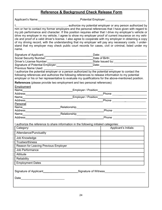## **Reference & Background Check Release Form**

Applicant's Name:\_\_\_\_\_\_\_\_\_\_\_\_\_\_\_\_\_\_\_\_\_\_\_\_\_\_Potential Employer:\_\_\_\_\_\_\_\_\_\_\_\_\_\_\_\_\_\_\_\_\_\_\_\_\_

 $\overline{\phantom{a}}$ , authorize my potential employer or any person authorized by him or her to contact my former employers and the personal references that I have given with regard to my job performance and character. If this position requires either that I drive my employer's vehicle or drive my employer in my vehicle, I agree to show my employer proof of current insurance on my vehicle and proof of a valid driver's license. I also agree to cooperate with my employer in obtaining a copy of my driving record, with the understanding that my employer will pay any necessary costs. I understand that my employer may check public court records for cases, civil or criminal, listed under my name.

| Signature of Applicant:          | Date:            |  |
|----------------------------------|------------------|--|
| Social Security Number:          | Date of Birth:   |  |
| Driver's License Number:         | State Issued by: |  |
| Signature of Potential Employer: | Date:            |  |
| Drovious Name Llood:             |                  |  |

Previous Name Used:

I authorize the potential employer or a person authorized by the potential employer to contact the following references and authorize the following references to release information to my potential employer or his or her representative to evaluate my qualifications for the above-mentioned position.

**References** (please provide two employment and two personal references)

| Employment                           |                                                                                       |                                                                                                                                                                                                                                     |  |  |  |  |
|--------------------------------------|---------------------------------------------------------------------------------------|-------------------------------------------------------------------------------------------------------------------------------------------------------------------------------------------------------------------------------------|--|--|--|--|
|                                      |                                                                                       | Name <b>Mame Confluence</b> Contract Contract Contract Contract Contract Contract Contract Contract Contract Contract Contract Contract Contract Contract Contract Contract Contract Contract Contract Contract Contract Contract C |  |  |  |  |
|                                      |                                                                                       |                                                                                                                                                                                                                                     |  |  |  |  |
|                                      | Address Phone<br>Name Employer / Position                                             |                                                                                                                                                                                                                                     |  |  |  |  |
|                                      |                                                                                       |                                                                                                                                                                                                                                     |  |  |  |  |
| Personal                             |                                                                                       |                                                                                                                                                                                                                                     |  |  |  |  |
|                                      |                                                                                       |                                                                                                                                                                                                                                     |  |  |  |  |
|                                      |                                                                                       |                                                                                                                                                                                                                                     |  |  |  |  |
|                                      |                                                                                       |                                                                                                                                                                                                                                     |  |  |  |  |
|                                      |                                                                                       |                                                                                                                                                                                                                                     |  |  |  |  |
|                                      | I authorize the reference to share information in the following initialed categories: |                                                                                                                                                                                                                                     |  |  |  |  |
| Category:                            |                                                                                       | Applicant's Initials:                                                                                                                                                                                                               |  |  |  |  |
| Attendance/Punctuality               |                                                                                       |                                                                                                                                                                                                                                     |  |  |  |  |
| Job Knowledge                        |                                                                                       |                                                                                                                                                                                                                                     |  |  |  |  |
| <b>Trustworthiness</b>               |                                                                                       |                                                                                                                                                                                                                                     |  |  |  |  |
| Reason for Leaving Previous Employer |                                                                                       |                                                                                                                                                                                                                                     |  |  |  |  |
| Job Performance                      |                                                                                       |                                                                                                                                                                                                                                     |  |  |  |  |
| Attitude                             |                                                                                       |                                                                                                                                                                                                                                     |  |  |  |  |
| Reliability                          |                                                                                       |                                                                                                                                                                                                                                     |  |  |  |  |
| <b>Employment Dates</b>              |                                                                                       |                                                                                                                                                                                                                                     |  |  |  |  |
|                                      |                                                                                       |                                                                                                                                                                                                                                     |  |  |  |  |
|                                      | Signature of Applicant___________________________Signature of Witness____________     |                                                                                                                                                                                                                                     |  |  |  |  |
|                                      |                                                                                       |                                                                                                                                                                                                                                     |  |  |  |  |
|                                      |                                                                                       |                                                                                                                                                                                                                                     |  |  |  |  |
|                                      |                                                                                       |                                                                                                                                                                                                                                     |  |  |  |  |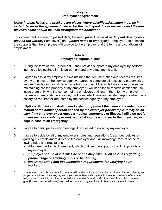## **Prototype Employment Agreement**

#### *Notes in bold, italics and brackets are places where specific information must be inserted. To make the agreement clearer for the participant, his or her name and the employee's name should be used throughout the document.*

This agreement is made on *[Insert date]* between *[Insert name of participant directly employing the worker]* ("employer") and *[Insert name of employee]* ("employee") to describe the supports that the employee will provide to the employer and the terms and conditions of employment.

#### **Article I Employee Responsibilities**

- 1. During the term of this Agreement, I shall provide support to my employer by performing the duties outlined in this agreement and any attachments to it.
- 2. I agree to assist my employer in maintaining the documentation and records required by my employer or the service agency. I agree to complete all necessary paperwork to secure mandatory payroll deductions from my pay. All records I may have or assist in maintaining are the property of my employer. I will keep these records confidential, release them only with the consent of my employer, and return them to my employer if my employment ends. In addition, I will complete illness and incident reports when necessary as required or requested by the service agency or my employer.
- 3. **[Optional Provision: I shall immediately notify** *(insert the name and contact information of the contact person chosen by the employer (for example, it may be an ally)* **if my employer experiences a medical emergency or illness. I will also notify (***insert name of contact person***) before taking my employer to the physician, except in case of an emergency.]**
- 4. I agree to participate in any meetings if requested to do so by my employer.
- 5. I agree to abide by all of my employer's rules and regulations (described below) regarding my employment duties to the employer and I acknowledge receipt of the following rules and regulations
	- a. Attachment A to this Agreement, which outlines the supports that I will provide to my employer.
	- c. *[Employer should insert rules he or she may have (such as rules regarding phone usage or* **smoking** *in his or her home)].*
	- d. *[Insert reporting and documentation requirements for verifying hours worked].*
- 6. I understand that this is an employment at will relationship, which can be terminated by me or by my employer at any time. However, my employer cannot terminate my employment on the basis of my race, religion, sex, disability or other protected status under federal or Michigan law. In addition, I agree to give *[insert number of days]* days written notice to my employer if I terminate my employment.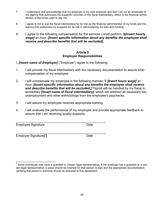- 7. I understand and acknowledge that my employer is my sole employer and that I am not an employee of the agency that authorizes the supports I provide, or the fiscal intermediary, which is the financial administrator of the funds used to pay me.
- 8. I agree to not to sue the fiscal intermediary for its role as the financial administrator of my funds and the agency that authorizes my supports for its role in administering my plan and funding.
- 9. I agree to the following compensation for the services I shall perform: **\$***[Insert hourly wage]* an hour. *[Insert specific information about any benefits the employee shall receive and describe benefits that will be excluded].*

#### **Article II Employer Responsibilities**

- I, *[insert name of Employer]* ("Employer") agree to the following:
- 1. I will provide my fiscal intermediary with the necessary documentation to assure timecompensation of my employee.
- 2. I will compensate my employee in the following manner: \$ *[Insert hours wage]* an hour. *[Insert specific information about any benefits the employee shall receive and describe benefits that will be excluded.]* Payroll will be handled by my fiscal intermediary *[Insert name of fiscal intermediary],* which will withhold all necessary tax, unemployment and other withholdings from the employee's paychecks.
- 3. I will assure my employee receives appropriate training.

\_\_\_\_\_\_\_\_\_\_\_\_\_\_\_\_\_\_\_\_\_\_\_\_\_\_\_\_\_\_\_\_\_\_\_\_\_\_\_\_\_\_\_\_\_\_\_\_\_\_\_

4. I will evaluate the performance of my employee and provide appropriate feedback to assure that I am receiving quality supports.

Employee Signature **Date** 

\_\_\_\_\_\_\_\_\_\_\_\_\_\_\_\_\_\_\_\_\_\_\_\_\_\_\_\_\_\_\_\_\_\_\_\_\_\_\_\_\_\_\_\_\_\_\_\_\_\_\_ Employer Signature**[** 3

\_\_\_\_\_\_\_\_\_\_\_\_\_\_\_\_\_\_\_\_\_\_\_\_\_

**]** Date

 $^3$  Some individuals may have a guardian or chosen legal representative. If the employer has a guardian or a chosen legal representative, a place should be inserted for that person to sign and the appropriate documentation verifying that person's authority should be attached to that agreement.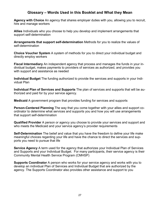## **Glossary – Words Used in this Booklet and What they Mean**

**Agency with Choice** An agency that shares employer duties with you, allowing you to recruit, hire and manage workers

**Allies** Individuals who you choose to help you develop and implement arrangements that support self-determination

**Arrangements that support self-determination** Methods for you to realize the values of self-determination

**Choice Voucher System** A system of methods for you to direct your individual budget and directly employ workers

**Fiscal Intermediary** An independent agency that process and manages the funds in your individual budget, makes payments to providers of services as authorized, and provides you with support and assistance as needed

**Individual Budget** The funding authorized to provide the services and supports in your Individual Plan

**Individual Plan of Services and Supports** The plan of services and supports that will be authorized and paid for by your service agency.

**Medicaid** A government program that provides funding for services and supports

**Person-Centered Planning** The way that you come together with your allies and support coordinator to determine what services and supports you and how you will use arrangements that support self-determination

**Qualified Provider** A person or agency you choose to provide your services and support and who meets the Medicaid and your service agency's provider requirements

**Self-Determination** The belief and value that you have the freedom to define your life make meaningful choices regarding your life and have the chance to direct the services and supports you need to pursue that life

**Service Agency** A term used for the agency that authorizes your Individual Plan of Services and Supports and your Individual Budget. For many participants, their service agency is their Community Mental Health Service Program (CMHSP)

**Supports Coordinator** A person who works for your service agency and works with you to develop an individual Plan of Services and Individual Budget that are authorized by the agency. The Supports Coordinator also provides other assistance and support to you